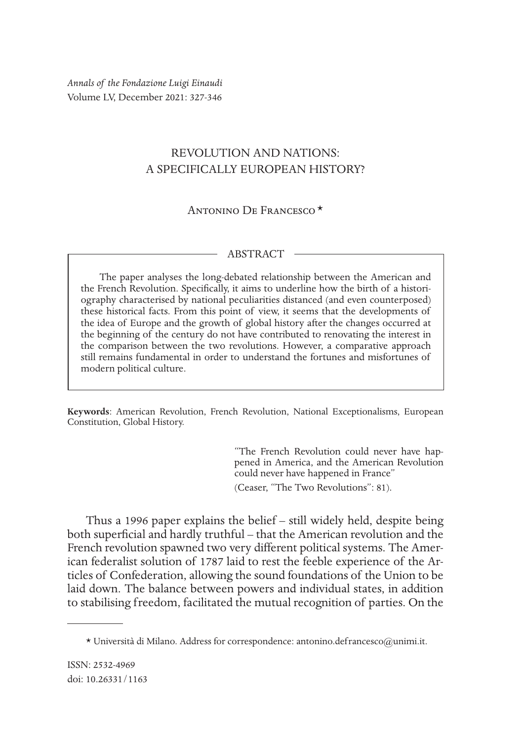*Annals of the Fondazione Luigi Einaudi* Volume LV, December 2021: 327-346

## REVOLUTION AND NATIONS: A SPECIFICALLY EUROPEAN HISTORY?

Antonino De Francesco\*1

## ABSTRACT

The paper analyses the long-debated relationship between the American and the French Revolution. Specifically, it aims to underline how the birth of a historiography characterised by national peculiarities distanced (and even counterposed) these historical facts. From this point of view, it seems that the developments of the idea of Europe and the growth of global history after the changes occurred at the beginning of the century do not have contributed to renovating the interest in the comparison between the two revolutions. However, a comparative approach still remains fundamental in order to understand the fortunes and misfortunes of modern political culture.

**Keywords**: American Revolution, French Revolution, National Exceptionalisms, European Constitution, Global History.

> "The French Revolution could never have happened in America, and the American Revolution could never have happened in France"

(Ceaser, "The Two Revolutions": 81).

Thus a 1996 paper explains the belief – still widely held, despite being both superficial and hardly truthful – that the American revolution and the French revolution spawned two very different political systems. The American federalist solution of 1787 laid to rest the feeble experience of the Articles of Confederation, allowing the sound foundations of the Union to be laid down. The balance between powers and individual states, in addition to stabilising freedom, facilitated the mutual recognition of parties. On the

 $*$  Università di Milano. Address for correspondence: antonino.defrancesco@unimi.it.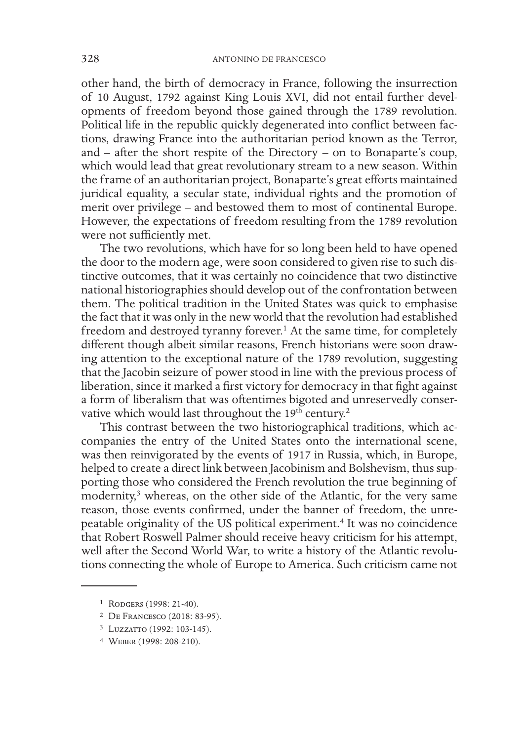other hand, the birth of democracy in France, following the insurrection of 10 August, 1792 against King Louis XVI, did not entail further developments of freedom beyond those gained through the 1789 revolution. Political life in the republic quickly degenerated into conflict between factions, drawing France into the authoritarian period known as the Terror, and – after the short respite of the Directory – on to Bonaparte's coup, which would lead that great revolutionary stream to a new season. Within the frame of an authoritarian project, Bonaparte's great efforts maintained juridical equality, a secular state, individual rights and the promotion of merit over privilege – and bestowed them to most of continental Europe. However, the expectations of freedom resulting from the 1789 revolution were not sufficiently met.

The two revolutions, which have for so long been held to have opened the door to the modern age, were soon considered to given rise to such distinctive outcomes, that it was certainly no coincidence that two distinctive national historiographies should develop out of the confrontation between them. The political tradition in the United States was quick to emphasise the fact that it was only in the new world that the revolution had established freedom and destroyed tyranny forever.<sup>1</sup> At the same time, for completely different though albeit similar reasons, French historians were soon drawing attention to the exceptional nature of the 1789 revolution, suggesting that the Jacobin seizure of power stood in line with the previous process of liberation, since it marked a first victory for democracy in that fight against a form of liberalism that was oftentimes bigoted and unreservedly conservative which would last throughout the 19<sup>th</sup> century.<sup>2</sup>

This contrast between the two historiographical traditions, which accompanies the entry of the United States onto the international scene, was then reinvigorated by the events of 1917 in Russia, which, in Europe, helped to create a direct link between Jacobinism and Bolshevism, thus supporting those who considered the French revolution the true beginning of modernity,<sup>3</sup> whereas, on the other side of the Atlantic, for the very same reason, those events confirmed, under the banner of freedom, the unrepeatable originality of the US political experiment.4 It was no coincidence that Robert Roswell Palmer should receive heavy criticism for his attempt, well after the Second World War, to write a history of the Atlantic revolutions connecting the whole of Europe to America. Such criticism came not

<sup>1</sup> Rodgers (1998: 21-40).

<sup>2</sup> De Francesco (2018: 83-95).

<sup>3</sup> Luzzatto (1992: 103-145).

<sup>4</sup> Weber (1998: 208-210).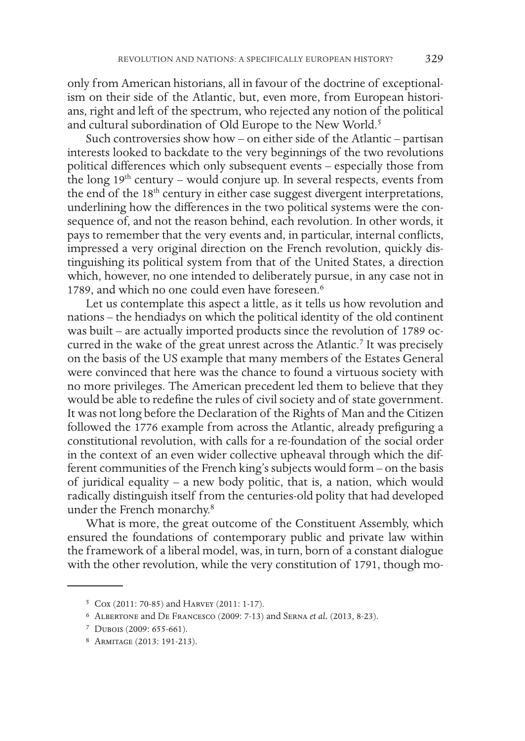only from American historians, all in favour of the doctrine of exceptionalism on their side of the Atlantic, but, even more, from European historians, right and left of the spectrum, who rejected any notion of the political and cultural subordination of Old Europe to the New World.<sup>5</sup>

Such controversies show how – on either side of the Atlantic – partisan interests looked to backdate to the very beginnings of the two revolutions political differences which only subsequent events – especially those from the long  $19<sup>th</sup>$  century – would conjure up. In several respects, events from the end of the 18<sup>th</sup> century in either case suggest divergent interpretations, underlining how the differences in the two political systems were the consequence of, and not the reason behind, each revolution. In other words, it pays to remember that the very events and, in particular, internal conflicts, impressed a very original direction on the French revolution, quickly distinguishing its political system from that of the United States, a direction which, however, no one intended to deliberately pursue, in any case not in 1789, and which no one could even have foreseen.<sup>6</sup>

Let us contemplate this aspect a little, as it tells us how revolution and nations – the hendiadys on which the political identity of the old continent was built – are actually imported products since the revolution of 1789 occurred in the wake of the great unrest across the Atlantic.<sup>7</sup> It was precisely on the basis of the US example that many members of the Estates General were convinced that here was the chance to found a virtuous society with no more privileges. The American precedent led them to believe that they would be able to redefine the rules of civil society and of state government. It was not long before the Declaration of the Rights of Man and the Citizen followed the 1776 example from across the Atlantic, already prefiguring a constitutional revolution, with calls for a re-foundation of the social order in the context of an even wider collective upheaval through which the different communities of the French king's subjects would form – on the basis of juridical equality – a new body politic, that is, a nation, which would radically distinguish itself from the centuries-old polity that had developed under the French monarchy.8

What is more, the great outcome of the Constituent Assembly, which ensured the foundations of contemporary public and private law within the framework of a liberal model, was, in turn, born of a constant dialogue with the other revolution, while the very constitution of 1791, though mo-

<sup>5</sup> Cox (2011: 70-85) and Harvey (2011: 1-17).

<sup>6</sup> Albertone and De Francesco (2009: 7-13) and Serna *et al.* (2013, 8-23).

<sup>7</sup> Dubois (2009: 655-661).

<sup>8</sup> Armitage (2013: 191-213).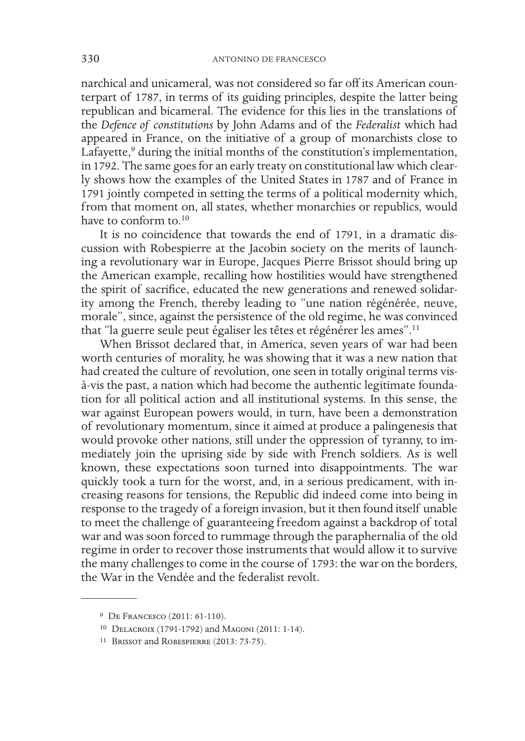narchical and unicameral, was not considered so far off its American counterpart of 1787, in terms of its guiding principles, despite the latter being republican and bicameral. The evidence for this lies in the translations of the *Defence of constitutions* by John Adams and of the *Federalist* which had appeared in France, on the initiative of a group of monarchists close to Lafayette,<sup>9</sup> during the initial months of the constitution's implementation, in 1792. The same goes for an early treaty on constitutional law which clearly shows how the examples of the United States in 1787 and of France in 1791 jointly competed in setting the terms of a political modernity which, from that moment on, all states, whether monarchies or republics, would have to conform to  $10$ 

It is no coincidence that towards the end of 1791, in a dramatic discussion with Robespierre at the Jacobin society on the merits of launching a revolutionary war in Europe, Jacques Pierre Brissot should bring up the American example, recalling how hostilities would have strengthened the spirit of sacrifice, educated the new generations and renewed solidarity among the French, thereby leading to "une nation régénérée, neuve, morale", since, against the persistence of the old regime, he was convinced that "la guerre seule peut égaliser les têtes et régénérer les ames".11

When Brissot declared that, in America, seven years of war had been worth centuries of morality, he was showing that it was a new nation that had created the culture of revolution, one seen in totally original terms visà-vis the past, a nation which had become the authentic legitimate foundation for all political action and all institutional systems. In this sense, the war against European powers would, in turn, have been a demonstration of revolutionary momentum, since it aimed at produce a palingenesis that would provoke other nations, still under the oppression of tyranny, to immediately join the uprising side by side with French soldiers. As is well known, these expectations soon turned into disappointments. The war quickly took a turn for the worst, and, in a serious predicament, with increasing reasons for tensions, the Republic did indeed come into being in response to the tragedy of a foreign invasion, but it then found itself unable to meet the challenge of guaranteeing freedom against a backdrop of total war and was soon forced to rummage through the paraphernalia of the old regime in order to recover those instruments that would allow it to survive the many challenges to come in the course of 1793: the war on the borders, the War in the Vendée and the federalist revolt.

<sup>9</sup> De Francesco (2011: 61-110).

<sup>10</sup> Delacroix (1791-1792) and Magoni (2011: 1-14).

<sup>11</sup> Brissot and Robespierre (2013: 73-75).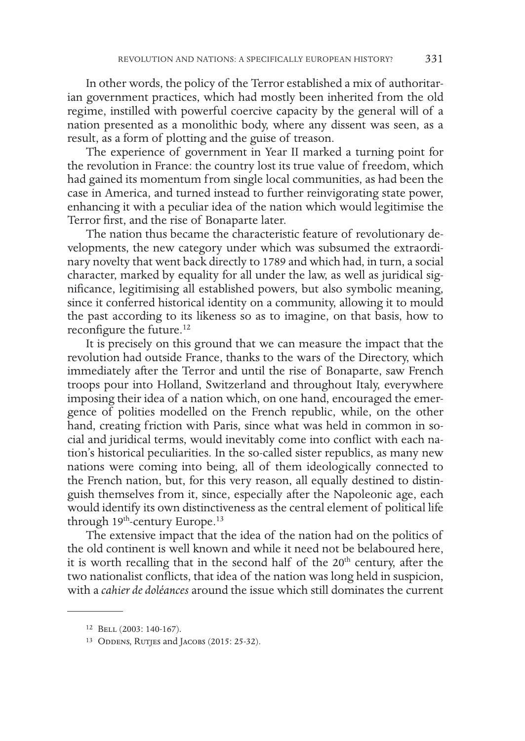In other words, the policy of the Terror established a mix of authoritarian government practices, which had mostly been inherited from the old regime, instilled with powerful coercive capacity by the general will of a nation presented as a monolithic body, where any dissent was seen, as a result, as a form of plotting and the guise of treason.

The experience of government in Year II marked a turning point for the revolution in France: the country lost its true value of freedom, which had gained its momentum from single local communities, as had been the case in America, and turned instead to further reinvigorating state power, enhancing it with a peculiar idea of the nation which would legitimise the Terror first, and the rise of Bonaparte later.

The nation thus became the characteristic feature of revolutionary developments, the new category under which was subsumed the extraordinary novelty that went back directly to 1789 and which had, in turn, a social character, marked by equality for all under the law, as well as juridical significance, legitimising all established powers, but also symbolic meaning, since it conferred historical identity on a community, allowing it to mould the past according to its likeness so as to imagine, on that basis, how to reconfigure the future.<sup>12</sup>

It is precisely on this ground that we can measure the impact that the revolution had outside France, thanks to the wars of the Directory, which immediately after the Terror and until the rise of Bonaparte, saw French troops pour into Holland, Switzerland and throughout Italy, everywhere imposing their idea of a nation which, on one hand, encouraged the emergence of polities modelled on the French republic, while, on the other hand, creating friction with Paris, since what was held in common in social and juridical terms, would inevitably come into conflict with each nation's historical peculiarities. In the so-called sister republics, as many new nations were coming into being, all of them ideologically connected to the French nation, but, for this very reason, all equally destined to distinguish themselves from it, since, especially after the Napoleonic age, each would identify its own distinctiveness as the central element of political life through  $19<sup>th</sup>$ -century Europe.<sup>13</sup>

The extensive impact that the idea of the nation had on the politics of the old continent is well known and while it need not be belaboured here, it is worth recalling that in the second half of the 20<sup>th</sup> century, after the two nationalist conflicts, that idea of the nation was long held in suspicion, with a *cahier de doléances* around the issue which still dominates the current

<sup>12</sup> Bell (2003: 140-167).

<sup>&</sup>lt;sup>13</sup> ODDENS, RUTJES and JACOBS (2015: 25-32).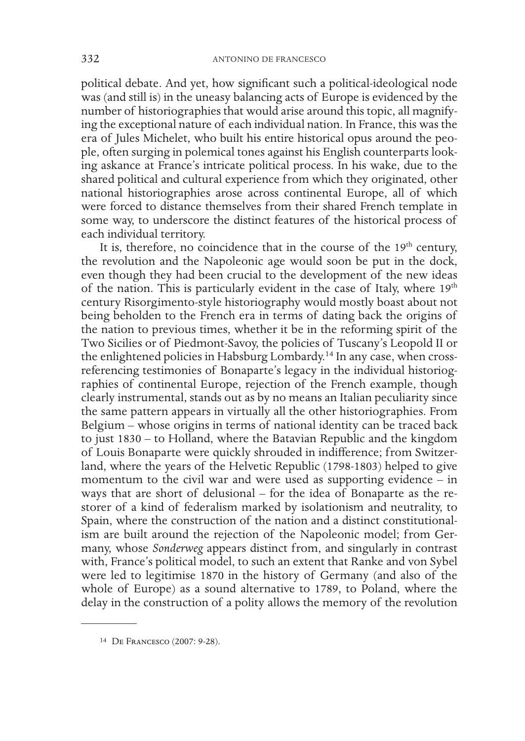political debate. And yet, how significant such a political-ideological node was (and still is) in the uneasy balancing acts of Europe is evidenced by the number of historiographies that would arise around this topic, all magnifying the exceptional nature of each individual nation. In France, this was the era of Jules Michelet, who built his entire historical opus around the people, often surging in polemical tones against his English counterparts looking askance at France's intricate political process. In his wake, due to the shared political and cultural experience from which they originated, other national historiographies arose across continental Europe, all of which were forced to distance themselves from their shared French template in some way, to underscore the distinct features of the historical process of each individual territory.

It is, therefore, no coincidence that in the course of the  $19<sup>th</sup>$  century, the revolution and the Napoleonic age would soon be put in the dock, even though they had been crucial to the development of the new ideas of the nation. This is particularly evident in the case of Italy, where  $19<sup>th</sup>$ century Risorgimento-style historiography would mostly boast about not being beholden to the French era in terms of dating back the origins of the nation to previous times, whether it be in the reforming spirit of the Two Sicilies or of Piedmont-Savoy, the policies of Tuscany's Leopold II or the enlightened policies in Habsburg Lombardy.14 In any case, when crossreferencing testimonies of Bonaparte's legacy in the individual historiographies of continental Europe, rejection of the French example, though clearly instrumental, stands out as by no means an Italian peculiarity since the same pattern appears in virtually all the other historiographies. From Belgium – whose origins in terms of national identity can be traced back to just 1830 – to Holland, where the Batavian Republic and the kingdom of Louis Bonaparte were quickly shrouded in indifference; from Switzerland, where the years of the Helvetic Republic (1798-1803) helped to give momentum to the civil war and were used as supporting evidence – in ways that are short of delusional – for the idea of Bonaparte as the restorer of a kind of federalism marked by isolationism and neutrality, to Spain, where the construction of the nation and a distinct constitutionalism are built around the rejection of the Napoleonic model; from Germany, whose *Sonderweg* appears distinct from, and singularly in contrast with, France's political model, to such an extent that Ranke and von Sybel were led to legitimise 1870 in the history of Germany (and also of the whole of Europe) as a sound alternative to 1789, to Poland, where the delay in the construction of a polity allows the memory of the revolution

<sup>14</sup> De Francesco (2007: 9-28).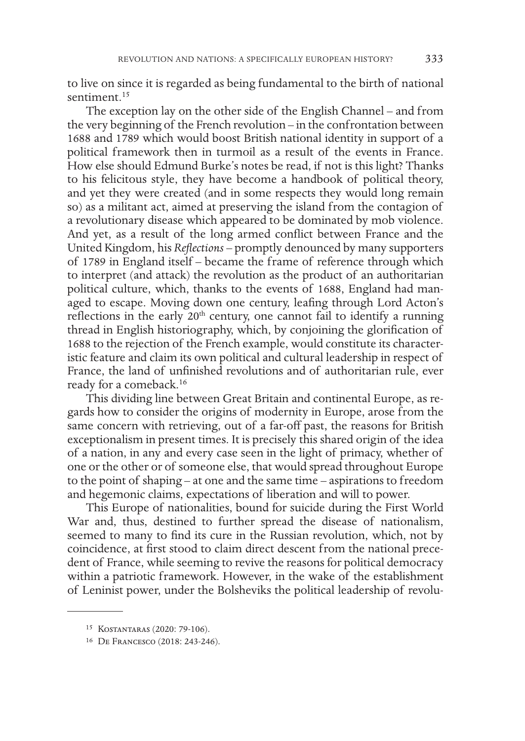to live on since it is regarded as being fundamental to the birth of national sentiment.<sup>15</sup>

The exception lay on the other side of the English Channel – and from the very beginning of the French revolution – in the confrontation between 1688 and 1789 which would boost British national identity in support of a political framework then in turmoil as a result of the events in France. How else should Edmund Burke's notes be read, if not is this light? Thanks to his felicitous style, they have become a handbook of political theory, and yet they were created (and in some respects they would long remain so) as a militant act, aimed at preserving the island from the contagion of a revolutionary disease which appeared to be dominated by mob violence. And yet, as a result of the long armed conflict between France and the United Kingdom, his *Reflections* – promptly denounced by many supporters of 1789 in England itself – became the frame of reference through which to interpret (and attack) the revolution as the product of an authoritarian political culture, which, thanks to the events of 1688, England had managed to escape. Moving down one century, leafing through Lord Acton's reflections in the early 20<sup>th</sup> century, one cannot fail to identify a running thread in English historiography, which, by conjoining the glorification of 1688 to the rejection of the French example, would constitute its characteristic feature and claim its own political and cultural leadership in respect of France, the land of unfinished revolutions and of authoritarian rule, ever ready for a comeback.16

This dividing line between Great Britain and continental Europe, as regards how to consider the origins of modernity in Europe, arose from the same concern with retrieving, out of a far-off past, the reasons for British exceptionalism in present times. It is precisely this shared origin of the idea of a nation, in any and every case seen in the light of primacy, whether of one or the other or of someone else, that would spread throughout Europe to the point of shaping – at one and the same time – aspirations to freedom and hegemonic claims, expectations of liberation and will to power.

This Europe of nationalities, bound for suicide during the First World War and, thus, destined to further spread the disease of nationalism, seemed to many to find its cure in the Russian revolution, which, not by coincidence, at first stood to claim direct descent from the national precedent of France, while seeming to revive the reasons for political democracy within a patriotic framework. However, in the wake of the establishment of Leninist power, under the Bolsheviks the political leadership of revolu-

<sup>15</sup> Kostantaras (2020: 79-106).

<sup>16</sup> De Francesco (2018: 243-246).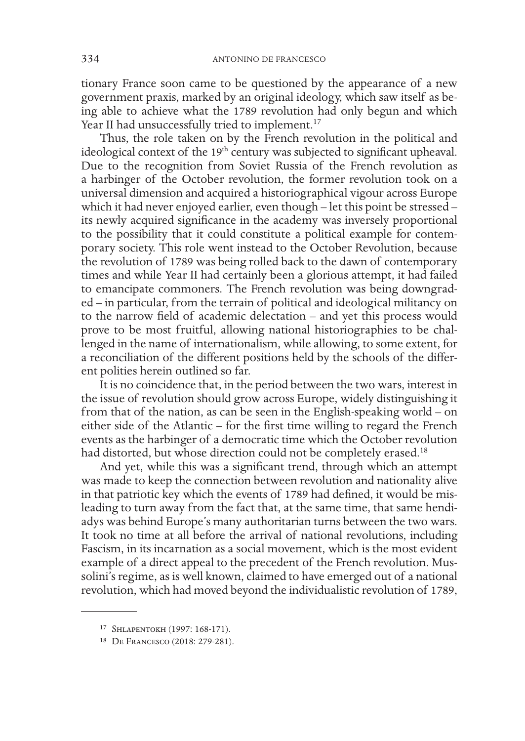tionary France soon came to be questioned by the appearance of a new government praxis, marked by an original ideology, which saw itself as being able to achieve what the 1789 revolution had only begun and which Year II had unsuccessfully tried to implement.<sup>17</sup>

Thus, the role taken on by the French revolution in the political and ideological context of the 19<sup>th</sup> century was subjected to significant upheaval. Due to the recognition from Soviet Russia of the French revolution as a harbinger of the October revolution, the former revolution took on a universal dimension and acquired a historiographical vigour across Europe which it had never enjoyed earlier, even though – let this point be stressed – its newly acquired significance in the academy was inversely proportional to the possibility that it could constitute a political example for contemporary society. This role went instead to the October Revolution, because the revolution of 1789 was being rolled back to the dawn of contemporary times and while Year II had certainly been a glorious attempt, it had failed to emancipate commoners. The French revolution was being downgraded – in particular, from the terrain of political and ideological militancy on to the narrow field of academic delectation – and yet this process would prove to be most fruitful, allowing national historiographies to be challenged in the name of internationalism, while allowing, to some extent, for a reconciliation of the different positions held by the schools of the different polities herein outlined so far.

It is no coincidence that, in the period between the two wars, interest in the issue of revolution should grow across Europe, widely distinguishing it from that of the nation, as can be seen in the English-speaking world – on either side of the Atlantic – for the first time willing to regard the French events as the harbinger of a democratic time which the October revolution had distorted, but whose direction could not be completely erased.<sup>18</sup>

And yet, while this was a significant trend, through which an attempt was made to keep the connection between revolution and nationality alive in that patriotic key which the events of 1789 had defined, it would be misleading to turn away from the fact that, at the same time, that same hendiadys was behind Europe's many authoritarian turns between the two wars. It took no time at all before the arrival of national revolutions, including Fascism, in its incarnation as a social movement, which is the most evident example of a direct appeal to the precedent of the French revolution. Mussolini's regime, as is well known, claimed to have emerged out of a national revolution, which had moved beyond the individualistic revolution of 1789,

<sup>17</sup> Shlapentokh (1997: 168-171).

<sup>18</sup> De Francesco (2018: 279-281).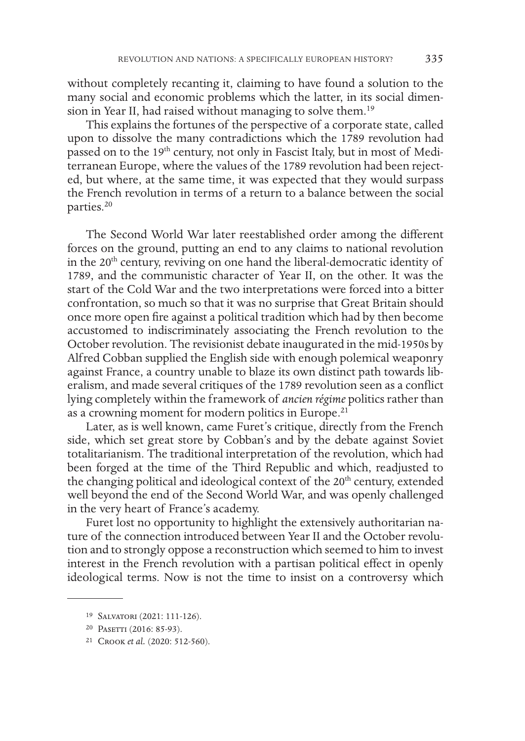without completely recanting it, claiming to have found a solution to the many social and economic problems which the latter, in its social dimension in Year II, had raised without managing to solve them.19

This explains the fortunes of the perspective of a corporate state, called upon to dissolve the many contradictions which the 1789 revolution had passed on to the 19<sup>th</sup> century, not only in Fascist Italy, but in most of Mediterranean Europe, where the values of the 1789 revolution had been rejected, but where, at the same time, it was expected that they would surpass the French revolution in terms of a return to a balance between the social parties.20

The Second World War later reestablished order among the different forces on the ground, putting an end to any claims to national revolution in the 20<sup>th</sup> century, reviving on one hand the liberal-democratic identity of 1789, and the communistic character of Year II, on the other. It was the start of the Cold War and the two interpretations were forced into a bitter confrontation, so much so that it was no surprise that Great Britain should once more open fire against a political tradition which had by then become accustomed to indiscriminately associating the French revolution to the October revolution. The revisionist debate inaugurated in the mid-1950s by Alfred Cobban supplied the English side with enough polemical weaponry against France, a country unable to blaze its own distinct path towards liberalism, and made several critiques of the 1789 revolution seen as a conflict lying completely within the framework of *ancien régime* politics rather than as a crowning moment for modern politics in Europe.<sup>21</sup>

Later, as is well known, came Furet's critique, directly from the French side, which set great store by Cobban's and by the debate against Soviet totalitarianism. The traditional interpretation of the revolution, which had been forged at the time of the Third Republic and which, readjusted to the changing political and ideological context of the 20<sup>th</sup> century, extended well beyond the end of the Second World War, and was openly challenged in the very heart of France's academy.

Furet lost no opportunity to highlight the extensively authoritarian nature of the connection introduced between Year II and the October revolution and to strongly oppose a reconstruction which seemed to him to invest interest in the French revolution with a partisan political effect in openly ideological terms. Now is not the time to insist on a controversy which

<sup>19</sup> Salvatori (2021: 111-126).

<sup>20</sup> Pasetti (2016: 85-93).

<sup>21</sup> Crook *et al.* (2020: 512-560).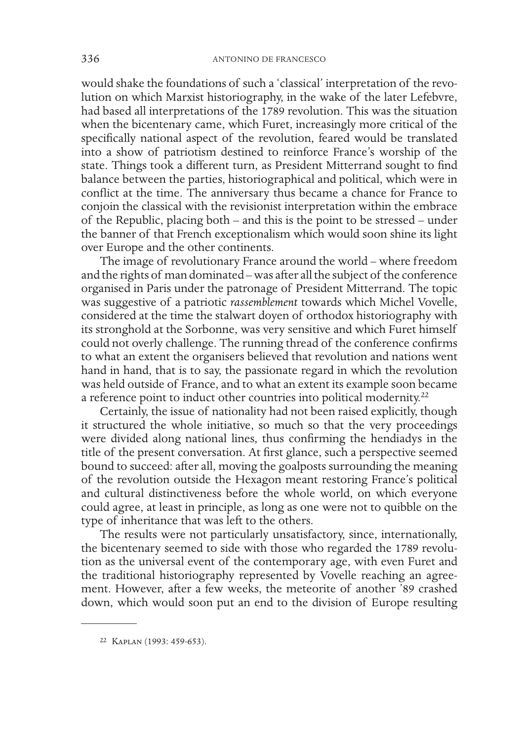would shake the foundations of such a 'classical' interpretation of the revolution on which Marxist historiography, in the wake of the later Lefebvre, had based all interpretations of the 1789 revolution. This was the situation when the bicentenary came, which Furet, increasingly more critical of the specifically national aspect of the revolution, feared would be translated into a show of patriotism destined to reinforce France's worship of the state. Things took a different turn, as President Mitterrand sought to find balance between the parties, historiographical and political, which were in conflict at the time. The anniversary thus became a chance for France to conjoin the classical with the revisionist interpretation within the embrace of the Republic, placing both – and this is the point to be stressed – under the banner of that French exceptionalism which would soon shine its light over Europe and the other continents.

The image of revolutionary France around the world – where freedom and the rights of man dominated – was after all the subject of the conference organised in Paris under the patronage of President Mitterrand. The topic was suggestive of a patriotic *rassemblement* towards which Michel Vovelle, considered at the time the stalwart doyen of orthodox historiography with its stronghold at the Sorbonne, was very sensitive and which Furet himself could not overly challenge. The running thread of the conference confirms to what an extent the organisers believed that revolution and nations went hand in hand, that is to say, the passionate regard in which the revolution was held outside of France, and to what an extent its example soon became a reference point to induct other countries into political modernity.<sup>22</sup>

Certainly, the issue of nationality had not been raised explicitly, though it structured the whole initiative, so much so that the very proceedings were divided along national lines, thus confirming the hendiadys in the title of the present conversation. At first glance, such a perspective seemed bound to succeed: after all, moving the goalposts surrounding the meaning of the revolution outside the Hexagon meant restoring France's political and cultural distinctiveness before the whole world, on which everyone could agree, at least in principle, as long as one were not to quibble on the type of inheritance that was left to the others.

The results were not particularly unsatisfactory, since, internationally, the bicentenary seemed to side with those who regarded the 1789 revolution as the universal event of the contemporary age, with even Furet and the traditional historiography represented by Vovelle reaching an agreement. However, after a few weeks, the meteorite of another '89 crashed down, which would soon put an end to the division of Europe resulting

<sup>22</sup> Kaplan (1993: 459-653).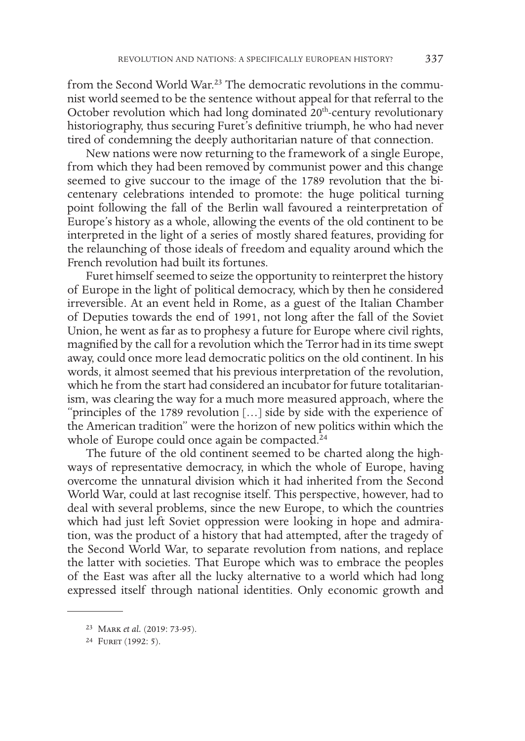from the Second World War.<sup>23</sup> The democratic revolutions in the communist world seemed to be the sentence without appeal for that referral to the October revolution which had long dominated  $20<sup>th</sup>$ -century revolutionary historiography, thus securing Furet's definitive triumph, he who had never tired of condemning the deeply authoritarian nature of that connection.

New nations were now returning to the framework of a single Europe, from which they had been removed by communist power and this change seemed to give succour to the image of the 1789 revolution that the bicentenary celebrations intended to promote: the huge political turning point following the fall of the Berlin wall favoured a reinterpretation of Europe's history as a whole, allowing the events of the old continent to be interpreted in the light of a series of mostly shared features, providing for the relaunching of those ideals of freedom and equality around which the French revolution had built its fortunes.

Furet himself seemed to seize the opportunity to reinterpret the history of Europe in the light of political democracy, which by then he considered irreversible. At an event held in Rome, as a guest of the Italian Chamber of Deputies towards the end of 1991, not long after the fall of the Soviet Union, he went as far as to prophesy a future for Europe where civil rights, magnified by the call for a revolution which the Terror had in its time swept away, could once more lead democratic politics on the old continent. In his words, it almost seemed that his previous interpretation of the revolution, which he from the start had considered an incubator for future totalitarianism, was clearing the way for a much more measured approach, where the "principles of the 1789 revolution […] side by side with the experience of the American tradition" were the horizon of new politics within which the whole of Europe could once again be compacted.<sup>24</sup>

The future of the old continent seemed to be charted along the highways of representative democracy, in which the whole of Europe, having overcome the unnatural division which it had inherited from the Second World War, could at last recognise itself. This perspective, however, had to deal with several problems, since the new Europe, to which the countries which had just left Soviet oppression were looking in hope and admiration, was the product of a history that had attempted, after the tragedy of the Second World War, to separate revolution from nations, and replace the latter with societies. That Europe which was to embrace the peoples of the East was after all the lucky alternative to a world which had long expressed itself through national identities. Only economic growth and

<sup>23</sup> Mark *et al.* (2019: 73-95).

<sup>&</sup>lt;sup>24</sup> FURET (1992: 5).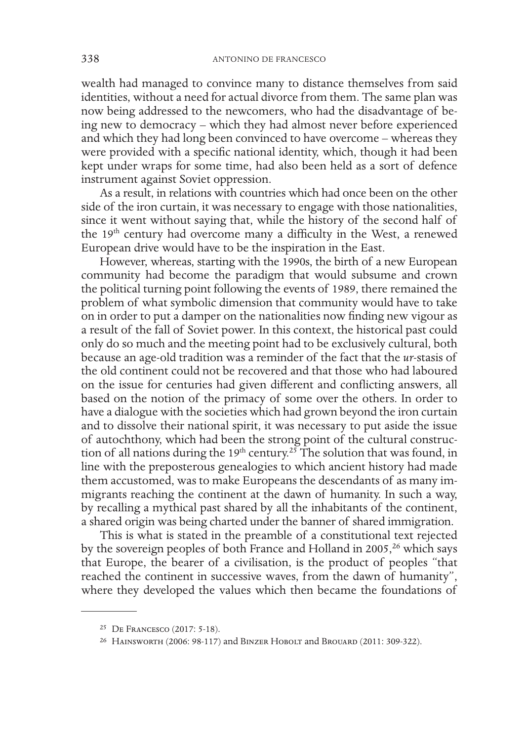wealth had managed to convince many to distance themselves from said identities, without a need for actual divorce from them. The same plan was now being addressed to the newcomers, who had the disadvantage of being new to democracy – which they had almost never before experienced and which they had long been convinced to have overcome – whereas they were provided with a specific national identity, which, though it had been kept under wraps for some time, had also been held as a sort of defence instrument against Soviet oppression.

As a result, in relations with countries which had once been on the other side of the iron curtain, it was necessary to engage with those nationalities, since it went without saying that, while the history of the second half of the 19<sup>th</sup> century had overcome many a difficulty in the West, a renewed European drive would have to be the inspiration in the East.

However, whereas, starting with the 1990s, the birth of a new European community had become the paradigm that would subsume and crown the political turning point following the events of 1989, there remained the problem of what symbolic dimension that community would have to take on in order to put a damper on the nationalities now finding new vigour as a result of the fall of Soviet power. In this context, the historical past could only do so much and the meeting point had to be exclusively cultural, both because an age-old tradition was a reminder of the fact that the *ur*-stasis of the old continent could not be recovered and that those who had laboured on the issue for centuries had given different and conflicting answers, all based on the notion of the primacy of some over the others. In order to have a dialogue with the societies which had grown beyond the iron curtain and to dissolve their national spirit, it was necessary to put aside the issue of autochthony, which had been the strong point of the cultural construction of all nations during the 19<sup>th</sup> century.<sup>25</sup> The solution that was found, in line with the preposterous genealogies to which ancient history had made them accustomed, was to make Europeans the descendants of as many immigrants reaching the continent at the dawn of humanity. In such a way, by recalling a mythical past shared by all the inhabitants of the continent, a shared origin was being charted under the banner of shared immigration.

This is what is stated in the preamble of a constitutional text rejected by the sovereign peoples of both France and Holland in 2005,<sup>26</sup> which says that Europe, the bearer of a civilisation, is the product of peoples "that reached the continent in successive waves, from the dawn of humanity", where they developed the values which then became the foundations of

<sup>25</sup> De Francesco (2017: 5-18).

<sup>26</sup> Hainsworth (2006: 98-117) and Binzer Hobolt and Brouard (2011: 309-322).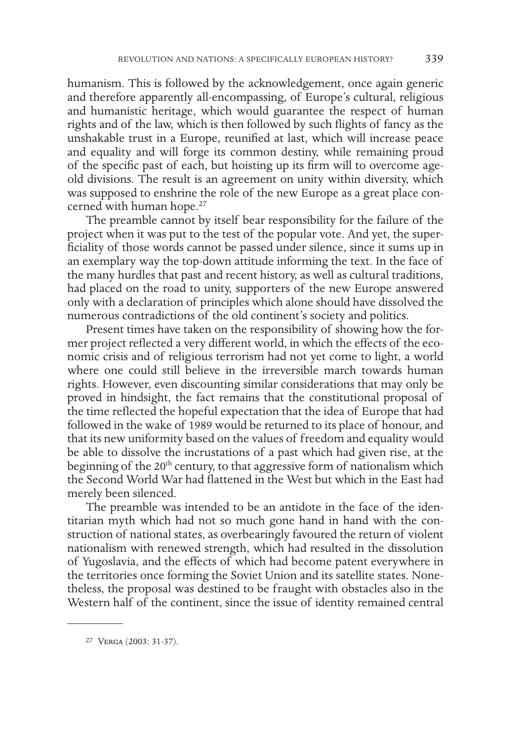humanism. This is followed by the acknowledgement, once again generic and therefore apparently all-encompassing, of Europe's cultural, religious and humanistic heritage, which would guarantee the respect of human rights and of the law, which is then followed by such flights of fancy as the unshakable trust in a Europe, reunified at last, which will increase peace and equality and will forge its common destiny, while remaining proud of the specific past of each, but hoisting up its firm will to overcome ageold divisions. The result is an agreement on unity within diversity, which was supposed to enshrine the role of the new Europe as a great place concerned with human hope.<sup>27</sup>

The preamble cannot by itself bear responsibility for the failure of the project when it was put to the test of the popular vote. And yet, the superficiality of those words cannot be passed under silence, since it sums up in an exemplary way the top-down attitude informing the text. In the face of the many hurdles that past and recent history, as well as cultural traditions, had placed on the road to unity, supporters of the new Europe answered only with a declaration of principles which alone should have dissolved the numerous contradictions of the old continent's society and politics.

Present times have taken on the responsibility of showing how the former project reflected a very different world, in which the effects of the economic crisis and of religious terrorism had not yet come to light, a world where one could still believe in the irreversible march towards human rights. However, even discounting similar considerations that may only be proved in hindsight, the fact remains that the constitutional proposal of the time reflected the hopeful expectation that the idea of Europe that had followed in the wake of 1989 would be returned to its place of honour, and that its new uniformity based on the values of freedom and equality would be able to dissolve the incrustations of a past which had given rise, at the beginning of the 20<sup>th</sup> century, to that aggressive form of nationalism which the Second World War had flattened in the West but which in the East had merely been silenced.

The preamble was intended to be an antidote in the face of the identitarian myth which had not so much gone hand in hand with the construction of national states, as overbearingly favoured the return of violent nationalism with renewed strength, which had resulted in the dissolution of Yugoslavia, and the effects of which had become patent everywhere in the territories once forming the Soviet Union and its satellite states. Nonetheless, the proposal was destined to be fraught with obstacles also in the Western half of the continent, since the issue of identity remained central

<sup>27</sup> Verga (2003: 31-37).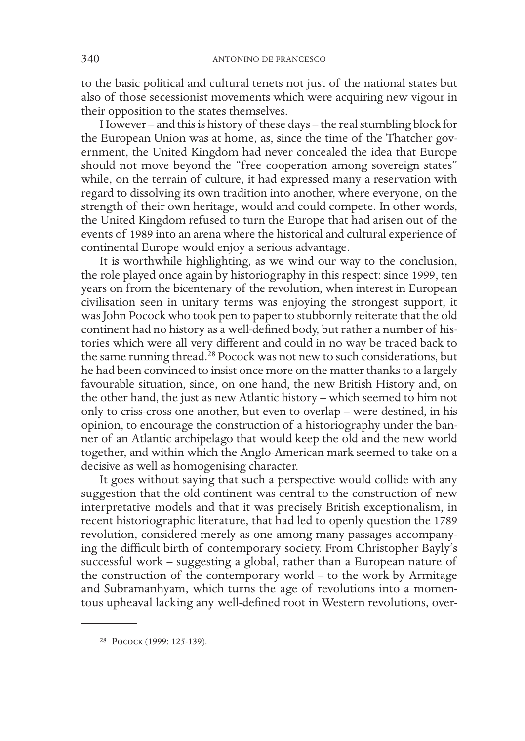to the basic political and cultural tenets not just of the national states but also of those secessionist movements which were acquiring new vigour in their opposition to the states themselves.

However – and this is history of these days – the real stumbling block for the European Union was at home, as, since the time of the Thatcher government, the United Kingdom had never concealed the idea that Europe should not move beyond the "free cooperation among sovereign states" while, on the terrain of culture, it had expressed many a reservation with regard to dissolving its own tradition into another, where everyone, on the strength of their own heritage, would and could compete. In other words, the United Kingdom refused to turn the Europe that had arisen out of the events of 1989 into an arena where the historical and cultural experience of continental Europe would enjoy a serious advantage.

It is worthwhile highlighting, as we wind our way to the conclusion, the role played once again by historiography in this respect: since 1999, ten years on from the bicentenary of the revolution, when interest in European civilisation seen in unitary terms was enjoying the strongest support, it was John Pocock who took pen to paper to stubbornly reiterate that the old continent had no history as a well-defined body, but rather a number of histories which were all very different and could in no way be traced back to the same running thread.<sup>28</sup> Pocock was not new to such considerations, but he had been convinced to insist once more on the matter thanks to a largely favourable situation, since, on one hand, the new British History and, on the other hand, the just as new Atlantic history – which seemed to him not only to criss-cross one another, but even to overlap – were destined, in his opinion, to encourage the construction of a historiography under the banner of an Atlantic archipelago that would keep the old and the new world together, and within which the Anglo-American mark seemed to take on a decisive as well as homogenising character.

It goes without saying that such a perspective would collide with any suggestion that the old continent was central to the construction of new interpretative models and that it was precisely British exceptionalism, in recent historiographic literature, that had led to openly question the 1789 revolution, considered merely as one among many passages accompanying the difficult birth of contemporary society. From Christopher Bayly's successful work – suggesting a global, rather than a European nature of the construction of the contemporary world – to the work by Armitage and Subramanhyam, which turns the age of revolutions into a momentous upheaval lacking any well-defined root in Western revolutions, over-

<sup>28</sup> Pocock (1999: 125-139).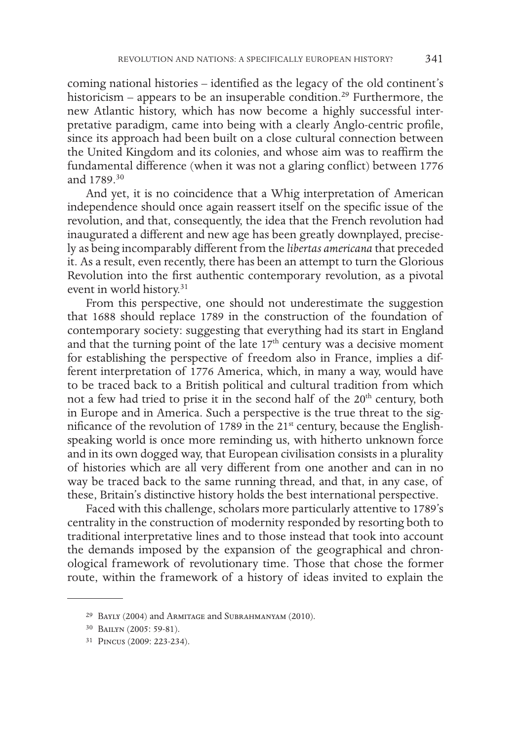coming national histories – identified as the legacy of the old continent's historicism – appears to be an insuperable condition.<sup>29</sup> Furthermore, the new Atlantic history, which has now become a highly successful interpretative paradigm, came into being with a clearly Anglo-centric profile, since its approach had been built on a close cultural connection between the United Kingdom and its colonies, and whose aim was to reaffirm the fundamental difference (when it was not a glaring conflict) between 1776 and 1789.30

And yet, it is no coincidence that a Whig interpretation of American independence should once again reassert itself on the specific issue of the revolution, and that, consequently, the idea that the French revolution had inaugurated a different and new age has been greatly downplayed, precisely as being incomparably different from the *libertas americana* that preceded it. As a result, even recently, there has been an attempt to turn the Glorious Revolution into the first authentic contemporary revolution, as a pivotal event in world history.<sup>31</sup>

From this perspective, one should not underestimate the suggestion that 1688 should replace 1789 in the construction of the foundation of contemporary society: suggesting that everything had its start in England and that the turning point of the late 17<sup>th</sup> century was a decisive moment for establishing the perspective of freedom also in France, implies a different interpretation of 1776 America, which, in many a way, would have to be traced back to a British political and cultural tradition from which not a few had tried to prise it in the second half of the 20<sup>th</sup> century, both in Europe and in America. Such a perspective is the true threat to the significance of the revolution of 1789 in the  $21<sup>st</sup>$  century, because the Englishspeaking world is once more reminding us, with hitherto unknown force and in its own dogged way, that European civilisation consists in a plurality of histories which are all very different from one another and can in no way be traced back to the same running thread, and that, in any case, of these, Britain's distinctive history holds the best international perspective.

Faced with this challenge, scholars more particularly attentive to 1789's centrality in the construction of modernity responded by resorting both to traditional interpretative lines and to those instead that took into account the demands imposed by the expansion of the geographical and chronological framework of revolutionary time. Those that chose the former route, within the framework of a history of ideas invited to explain the

<sup>29</sup> Bayly (2004) and Armitage and Subrahmanyam (2010).

<sup>30</sup> Bailyn (2005: 59-81).

<sup>31</sup> Pincus (2009: 223-234).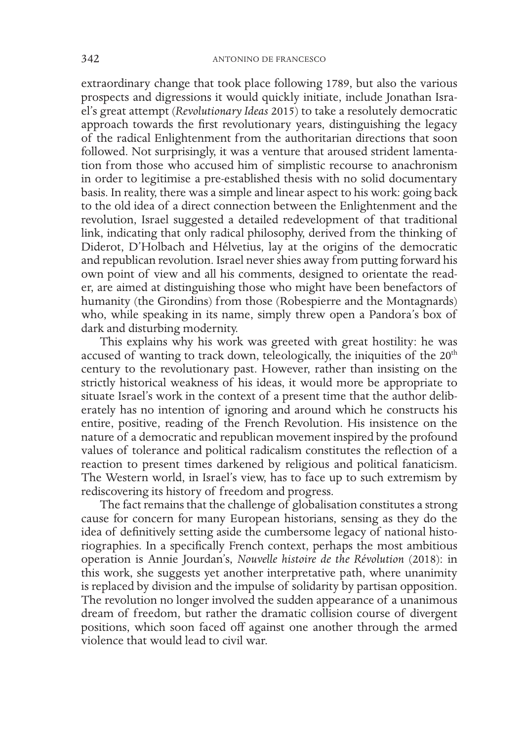extraordinary change that took place following 1789, but also the various prospects and digressions it would quickly initiate, include Jonathan Israel's great attempt (*Revolutionary Ideas* 2015) to take a resolutely democratic approach towards the first revolutionary years, distinguishing the legacy of the radical Enlightenment from the authoritarian directions that soon followed. Not surprisingly, it was a venture that aroused strident lamentation from those who accused him of simplistic recourse to anachronism in order to legitimise a pre-established thesis with no solid documentary basis. In reality, there was a simple and linear aspect to his work: going back to the old idea of a direct connection between the Enlightenment and the revolution, Israel suggested a detailed redevelopment of that traditional link, indicating that only radical philosophy, derived from the thinking of Diderot, D'Holbach and Hélvetius, lay at the origins of the democratic and republican revolution. Israel never shies away from putting forward his own point of view and all his comments, designed to orientate the reader, are aimed at distinguishing those who might have been benefactors of humanity (the Girondins) from those (Robespierre and the Montagnards) who, while speaking in its name, simply threw open a Pandora's box of dark and disturbing modernity.

This explains why his work was greeted with great hostility: he was accused of wanting to track down, teleologically, the iniquities of the 20<sup>th</sup> century to the revolutionary past. However, rather than insisting on the strictly historical weakness of his ideas, it would more be appropriate to situate Israel's work in the context of a present time that the author deliberately has no intention of ignoring and around which he constructs his entire, positive, reading of the French Revolution. His insistence on the nature of a democratic and republican movement inspired by the profound values of tolerance and political radicalism constitutes the reflection of a reaction to present times darkened by religious and political fanaticism. The Western world, in Israel's view, has to face up to such extremism by rediscovering its history of freedom and progress.

The fact remains that the challenge of globalisation constitutes a strong cause for concern for many European historians, sensing as they do the idea of definitively setting aside the cumbersome legacy of national historiographies. In a specifically French context, perhaps the most ambitious operation is Annie Jourdan's, *Nouvelle histoire de the Révolution* (2018): in this work, she suggests yet another interpretative path, where unanimity is replaced by division and the impulse of solidarity by partisan opposition. The revolution no longer involved the sudden appearance of a unanimous dream of freedom, but rather the dramatic collision course of divergent positions, which soon faced off against one another through the armed violence that would lead to civil war.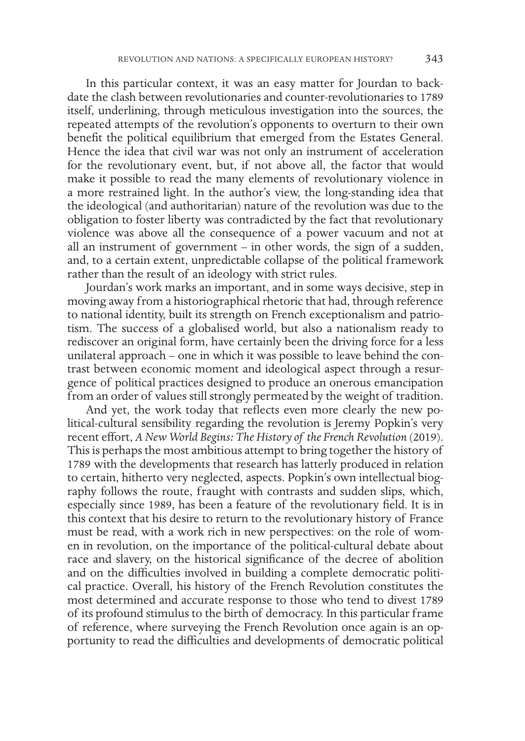In this particular context, it was an easy matter for Jourdan to backdate the clash between revolutionaries and counter-revolutionaries to 1789 itself, underlining, through meticulous investigation into the sources, the repeated attempts of the revolution's opponents to overturn to their own benefit the political equilibrium that emerged from the Estates General. Hence the idea that civil war was not only an instrument of acceleration for the revolutionary event, but, if not above all, the factor that would make it possible to read the many elements of revolutionary violence in a more restrained light. In the author's view, the long-standing idea that the ideological (and authoritarian) nature of the revolution was due to the obligation to foster liberty was contradicted by the fact that revolutionary violence was above all the consequence of a power vacuum and not at all an instrument of government – in other words, the sign of a sudden, and, to a certain extent, unpredictable collapse of the political framework rather than the result of an ideology with strict rules.

Jourdan's work marks an important, and in some ways decisive, step in moving away from a historiographical rhetoric that had, through reference to national identity, built its strength on French exceptionalism and patriotism. The success of a globalised world, but also a nationalism ready to rediscover an original form, have certainly been the driving force for a less unilateral approach – one in which it was possible to leave behind the contrast between economic moment and ideological aspect through a resurgence of political practices designed to produce an onerous emancipation from an order of values still strongly permeated by the weight of tradition.

And yet, the work today that reflects even more clearly the new political-cultural sensibility regarding the revolution is Jeremy Popkin's very recent effort, *A New World Begins: The History of the French Revolution (2019)*. This is perhaps the most ambitious attempt to bring together the history of 1789 with the developments that research has latterly produced in relation to certain, hitherto very neglected, aspects. Popkin's own intellectual biography follows the route, fraught with contrasts and sudden slips, which, especially since 1989, has been a feature of the revolutionary field. It is in this context that his desire to return to the revolutionary history of France must be read, with a work rich in new perspectives: on the role of women in revolution, on the importance of the political-cultural debate about race and slavery, on the historical significance of the decree of abolition and on the difficulties involved in building a complete democratic political practice. Overall, his history of the French Revolution constitutes the most determined and accurate response to those who tend to divest 1789 of its profound stimulus to the birth of democracy. In this particular frame of reference, where surveying the French Revolution once again is an opportunity to read the difficulties and developments of democratic political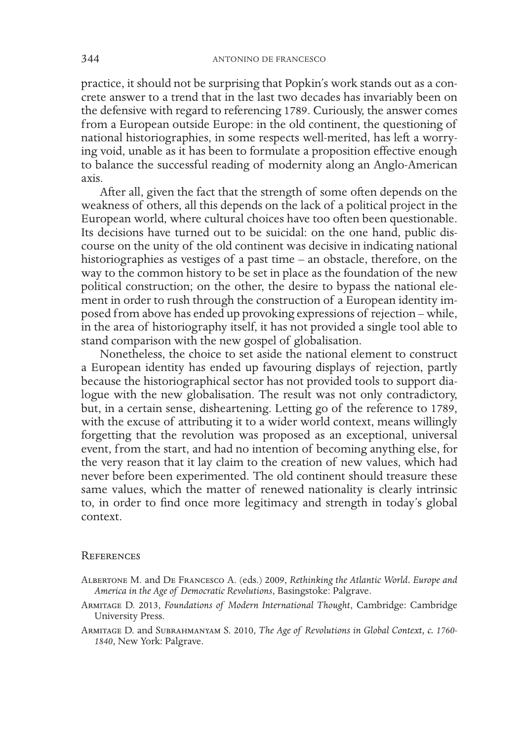practice, it should not be surprising that Popkin's work stands out as a concrete answer to a trend that in the last two decades has invariably been on the defensive with regard to referencing 1789. Curiously, the answer comes from a European outside Europe: in the old continent, the questioning of national historiographies, in some respects well-merited, has left a worrying void, unable as it has been to formulate a proposition effective enough to balance the successful reading of modernity along an Anglo-American axis.

After all, given the fact that the strength of some often depends on the weakness of others, all this depends on the lack of a political project in the European world, where cultural choices have too often been questionable. Its decisions have turned out to be suicidal: on the one hand, public discourse on the unity of the old continent was decisive in indicating national historiographies as vestiges of a past time – an obstacle, therefore, on the way to the common history to be set in place as the foundation of the new political construction; on the other, the desire to bypass the national element in order to rush through the construction of a European identity imposed from above has ended up provoking expressions of rejection – while, in the area of historiography itself, it has not provided a single tool able to stand comparison with the new gospel of globalisation.

Nonetheless, the choice to set aside the national element to construct a European identity has ended up favouring displays of rejection, partly because the historiographical sector has not provided tools to support dialogue with the new globalisation. The result was not only contradictory, but, in a certain sense, disheartening. Letting go of the reference to 1789, with the excuse of attributing it to a wider world context, means willingly forgetting that the revolution was proposed as an exceptional, universal event, from the start, and had no intention of becoming anything else, for the very reason that it lay claim to the creation of new values, which had never before been experimented. The old continent should treasure these same values, which the matter of renewed nationality is clearly intrinsic to, in order to find once more legitimacy and strength in today's global context.

## **REFERENCES**

- Albertone M. and De Francesco A. (eds.) 2009, *Rethinking the Atlantic World. Europe and America in the Age of Democratic Revolutions*, Basingstoke: Palgrave.
- Armitage D. 2013, *Foundations of Modern International Thought*, Cambridge: Cambridge University Press.
- Armitage D. and Subrahmanyam S. 2010, *The Age of Revolutions in Global Context, c. 1760- 1840*, New York: Palgrave.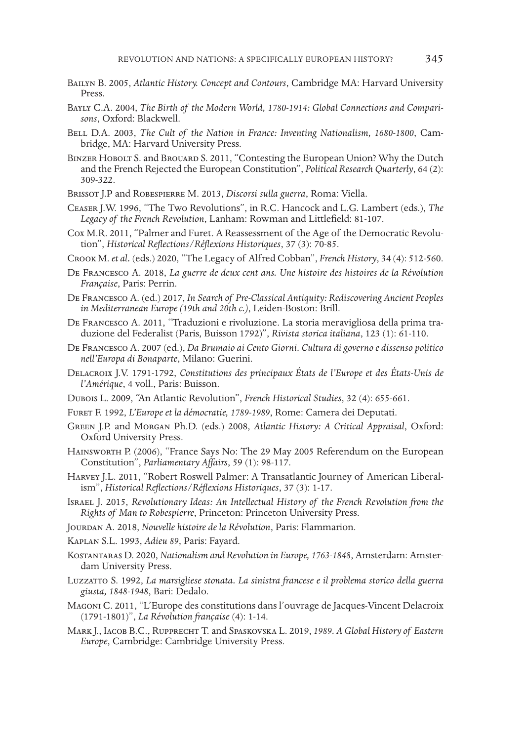- Bailyn B. 2005, *Atlantic History. Concept and Contours*, Cambridge MA: Harvard University Press.
- Bayly C.A. 2004, *The Birth of the Modern World, 1780-1914: Global Connections and Compari- sons*, Oxford: Blackwell.
- Bell D.A. 2003, *The Cult of the Nation in France: Inventing Nationalism, 1680-1800*, Cam- bridge, MA: Harvard University Press.
- Binzer Hobolt S. and Brouard S. 2011, "Contesting the European Union? Why the Dutch and the French Rejected the European Constitution", *Political Research Quarterly*, 64 (2): 309-322.
- Brissot J.P and Robespierre M. 2013, *Discorsi sulla guerra*, Roma: Viella.
- Ceaser J.W. 1996, "The Two Revolutions", in R.C. Hancock and L.G. Lambert (eds.), *The Legacy of the French Revolution*, Lanham: Rowman and Littlefield: 81-107.
- Cox M.R. 2011, "Palmer and Furet. A Reassessment of the Age of the Democratic Revolu- tion", *Historical Reflections/Réflexions Historiques*, 37 (3): 70-85.
- Crook M. *et al.* (eds.) 2020, "The Legacy of Alfred Cobban", *French History*, 34 (4): 512-560.
- De Francesco A. 2018, *La guerre de deux cent ans. Une histoire des histoires de la Révolution Française*, Paris: Perrin.
- De Francesco A. (ed.) 2017, *In Search of Pre-Classical Antiquity: Rediscovering Ancient Peoples in Mediterranean Europe (19th and 20th c.)*, Leiden-Boston: Brill.
- De Francesco A. 2011, "Traduzioni e rivoluzione. La storia meravigliosa della prima tra- duzione del Federalist (Paris, Buisson 1792)", *Rivista storica italiana*, 123 (1): 61-110.
- De Francesco A. 2007 (ed.), *Da Brumaio ai Cento Giorni. Cultura di governo e dissenso politico nell'Europa di Bonaparte*, Milano: Guerini.
- Delacroix J.V. 1791-1792, *Constitutions des principaux États de l'Europe et des États-Unis de l'Amérique*, 4 voll., Paris: Buisson.
- Dubois L. 2009, "An Atlantic Revolution", *French Historical Studies*, 32 (4): 655-661.
- Furet F. 1992, *L'Europe et la démocratie, 1789-1989*, Rome: Camera dei Deputati.
- Green J.P. and Morgan Ph.D. (eds.) 2008, *Atlantic History: A Critical Appraisal*, Oxford: Oxford University Press.
- Hainsworth P. (2006), "France Says No: The 29 May 2005 Referendum on the European Constitution", *Parliamentary Affairs*, 59 (1): 98-117.
- Harvey J.L. 2011, "Robert Roswell Palmer: A Transatlantic Journey of American Liberal- ism", *Historical Reflections/Réflexions Historiques*, 37 (3): 1-17.
- ISRAEL J. 2015, *Revolutionary Ideas: An Intellectual History of the French Revolution from the Rights of Man to Robespierre*, Princeton: Princeton University Press.
- Jourdan A. 2018, *Nouvelle histoire de la Révolution*, Paris: Flammarion.
- Kaplan S.L. 1993, *Adieu 89*, Paris: Fayard.
- Kostantaras D. 2020, *Nationalism and Revolution in Europe, 1763-1848*, Amsterdam: Amster- dam University Press.
- Luzzatto S. 1992, *La marsigliese stonata. La sinistra francese e il problema storico della guerra giusta, 1848-1948*, Bari: Dedalo.
- Magoni C. 2011, "L'Europe des constitutions dans l'ouvrage de Jacques-Vincent Delacroix (1791-1801)", *La Révolution française* (4): 1-14.
- Mark J., Iacob B.C., Rupprecht T. and Spaskovska L. 2019, *1989. A Global History of Eastern Europe*, Cambridge: Cambridge University Press.